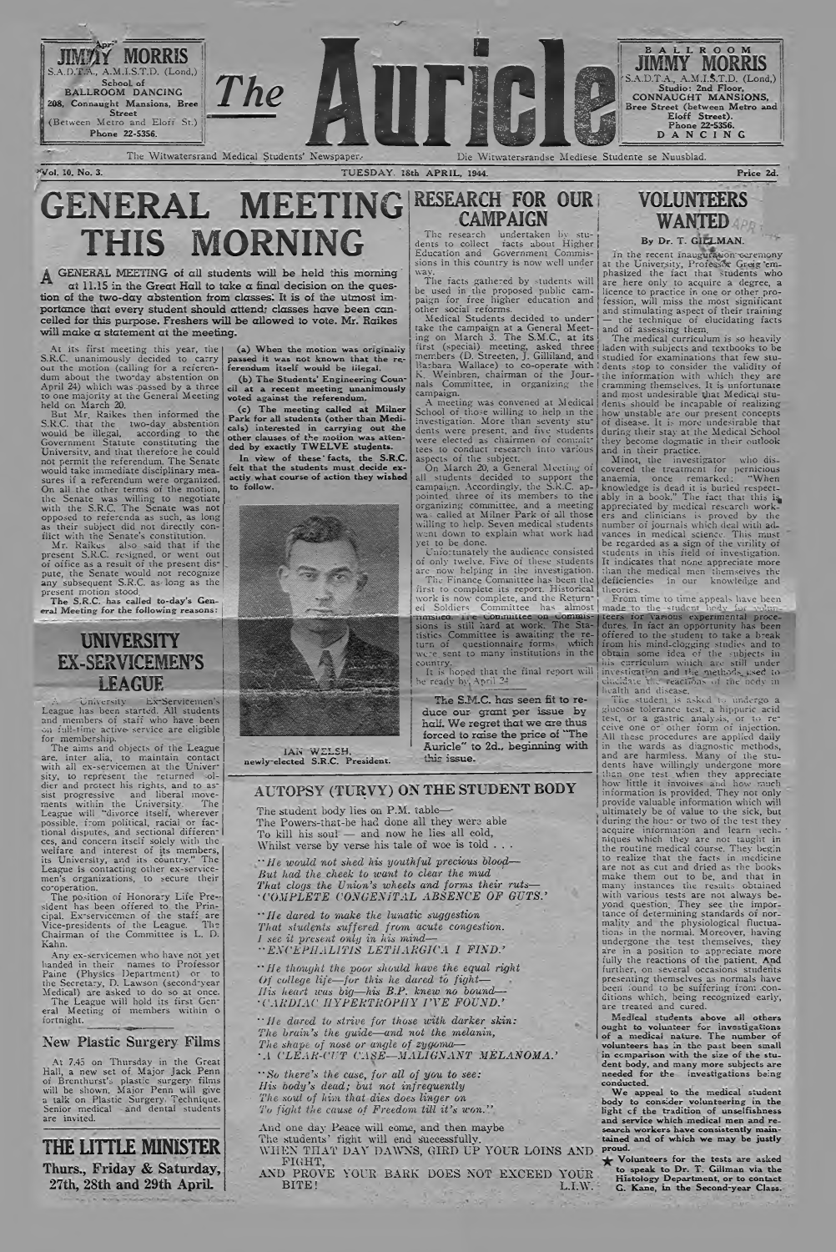

**200 of the ST A P A CONSUMERTIAL SET A P RIL, 1944.** Price 2d. **Price 2d.** Price 2d.

way

**RESEARCH FOR OUR CAMPAIGN** The research undertaken by students to collect facts about Higher Education and Government Commissions in this country is now well under

nals Committee, in organizing the campaign. A meeting was convened at Medical School of those willing to help in the investigation. More than seventy students were present, and five students were elected as chairmen of commit-tees to conduct research into various

On March 20, a General Meeting of all students decided to support the campaign. Accordingly, the S.R.C. appointed three of its members to the organizing committee, and a meeting was called at Milner Park of all those willing to help. Seven medical students went down to explain what work had

Unfortunately the audience consisted of only twelve. Five of these students arc now helping in the investigation. The Finance Committee has been the first to complete its report. Historical work is now complete, and the Return-ed Soldiers Committee has almost

-notsnea. t ie wonmnitee on commis-sions is still hard at work. The Sta-tistics Committee is awaiting the re-turn of questionnaire forms which

were, sent to many institutions in the country. It is hoped that the final report will be ready by, April 2J

**The S.M.C. has seen fit to reduce our- grant per issue by half. W e regret that we are thus forced to raise the price of "The Auricle" to 2d., beginning with**

aspects of the subject.

yet to be done.

# GENERAL MEETING THIS MORNING

**GENERAL MEETING of all students will be held this morning** A **at 11.15 in the Great Hall to take a final decision on the question of the two-day abstention from classes'. It is of the utmost importance that every student should attend; classes have been cancelled for this purpose. Freshers will be allowed to vote. Mr. Raikes will make a statement at the meeting.**

At its first meeting this year, the S.R.C. unanimously decided to carry out the motion (calling for a referendum about the two-day abstention on April 24) which was -passed by a three to one majority at the General Meeting held on March 20.

But Mr. Raikes then informed the S.R.C. that the two-day abstention would be illegal, according to the Government Statute constituting the University, and that therefore he could not permit the referendum. The Senate would take immediate disciplinary measures if a referendum were organized. On all the other terms of the motion, the Senate was willing to negotiate with the S.R.C. The Senate was not opposed to referenda as such, as long as their subject did not directly con-flict with the Senate's constitution.

Mr. Raikes also said that if the present S.R.C. resigned, or went out of office as a result of the present dispute, the Senate would not recognize any subsequent S.R.C. as- long as the

present motion stood.<br>The S.R.C. has called to-day's General Meeting for the following reasons:

## **UNIVERSITY EX-SERVICEMEN'S LEAGUE**

University Ex-Servicemen's League has been started. All students and members of staff who have been on full-time active- service are eligible for membership.

The aims and objects of the League are, inter alia, to maintain contact with all ex-servicemen at the University, to represent the returned soldier and protect his rights, and to assist progressive and liberal movements within the University. The League will "divorce itself, wherever possible, from political, racial or fac-tional disputes, and sectional differences, and concern itself solely with the welfare and interest of its members, its University, and its country." The League is contacting other ex-service-men's organizations, to secure their co-operation.

The position of Honorary Life President has been offered to the Principal. Ex-servicemen of the staff are Vice-presidents of the League. The Chairman of the Committee is L. D. Kahn.

Any ex-servicemen who have not yet handed in their names to Professor Paine (Physics Department) or to the Secretary, D. Lawson (second-year Medical) are asked to do so at once. The League will hold its first Gen-eral Meeting of members within o fortnight.

New Plastic Surgery Films

At 7.43 on Thursday in the Great Hall, a new set of. Major Jack Penn of Brenthurst's plastic surgery films will be shown. Major Penn will give a talk on Plastic Surgery, Technique. Senior medical and dental students are invited.

**THE LITTLE MINISTER Thurs., Friday & Saturday, 27th, 28th and 29th April.**

The facts gathered by students will be used in the proposed public campaign for free higher education and other social reforms. Medical Students decided to under-take the campaign at a General Meet-

(a) When the motion was originally passed it was not known that the referendum itself would be illegal. ing on March 3. The S.M.C., at its first (special) meeting, asked three members (D. Streeten, J. Gilliland, and Barbara Wallace) to co-operate with K. Weinbren, chairman of the Jour-

(b) The Students' Engineering Council at a recent meeting unanimously voted against the referendum.

(c) The meeting called at Milner Park for all students (other than Medicals) interested in carrying out the other clauses of the motion was attended by exactly TWELVE students.

In view of these facts, the S.R.C. felt that the students must decide ex actly what course of action they wished to follow.



IAN WELSH, newly-elected S.R.C. President.

#### AUTOPSY (TURVY) **ON THE STUDENT BODY**

**this issue.**

The student body lies on P.M. table— The Powers-that-be had done all they were able To kill his soul — and now he lies all cold, Whilst verse by verse his tale of woe is told . . .

" He would not shed his youthful precious blood-*But had the cheek to want to clear the mud That clogs the Union's wheels and forms their ruts*— *•COMPLETE CONGENITAL ABSENCE OF GUTS.'*

*" lie dared to make the lunatic suggestion That students suffered from acute congestion. 1 see it present only in his mind*— *■•ENCEPHALITIS LETHARGIC A I FIND.'*

*"H e thought the poor should have the equal right Of college life—for this he dared to fight*— *His heart was big—his B.P. knew no bound*— *■CARDIAC' HYPERTROPHY I 'VE FOUND.'*

*"H e dared to strive for those with darker skin: The brain's the guide—and not the melanin, The shape of nose or angle of zyc/oma*— -.1 *CLEAR-CUT CASE—MALIGNANT MELANOMA.'*

*"So there's the case, for all of you to see: His body's dead; but not infrequently ■ The sout of him that dies does linger on To fight the cause of Freedom till it's won."*

And one day Peace will come, and then maybe The students' fight will end successfully. WHEN THAT DAY DAWNS, GIRD UP YOUR LOINS AND Proud FIGHT,

AND PROVE YOUR BARK DOES NOT EXCEED YOUR BITE! BITE! L.I.W.

## **VOLUNTEERS WANTED**

By Dr. T. GILLMAN.

in the recent inauguration seremony at the University, Professor Greig emphasized the fact that students who are here only to acquire a degree, a licence to practice in one or other profession, will miss the most significant and stimulating aspect of their training — the technique of elucidating facts and of assessing them.

The medical curriculum is so heavily j laden with subjects and textbooks to be I studied for examinations that few stu *l* dents stop to consider the validity of the information with which they are cramming themselves. It is unfortunate and most undesirable that Medical students should he incapable of realizing how unstable are our present concepts of disease. It is more undesirable that how unstable are our present concepts<br>of disease. It is more undesirable that<br>during their stay at the Medical School they become dogmatic in their outlook and in their practice.

Minot, the investigator who discovered the treatment for pernicious anaemia, once remarked: "When knowledge is dead it is buried respectably in a book." The fact that this i^ appreciated by medical research workers and clinicians is proved by the number of journals which deal with advances in medical science. This must be regarded as a sign of the virility of students in this field of investigation. It indicates that none appreciate more than the medical men themselves the<br>deficiencies in our knowledge and theories.

From time to time appeals have been<br>made to the student body for varian-<br>teers for various experimental proce-<br>dures. In fact an opportunity has been offered to the student to take a break from his mind-clogging studies and to obtain some idea of the subjects in his curriculum which are still under investigation and the methods., used to elucidate Vhc" reactions of the oody in health and disease.

The student is asked to undergo a glucose tolerance test, a hippuric acid test, or a gastric analysis, or to receive one or other form of injection. All these procedures are applied daily in the wards as diagnostic methods, and are harmless. Many of the students have willingly undergone more than one test when they appreciate how little it involves and how much information is provided. They not only provide valuable information which will . ultimately be of value to the sick, but I during the hour or two of the test they acquire information and learn tech-<br>niques which they are not taught in the routine medical course. They begin to realize that the facts in medicine are not as cut and dried as the books make them out to be, and that in many instances the results obtained with various tests are not always be-yond question. They see the importance of determining standards of normality and the physiological fluctuations in the normal. Moreover, having undergone the test themselves, they are in a position to appreciate more fully the reactions of the patient. And further, on several occasions students presenting themselves as normals have been found to be suffering from .conditions which, being recognized early, are treated and cured.

Medical students above all others ought to volunteer for investigations<br>of a medical nature. The number of volunteers has in the past been small in comparison with the size of the student body, and many more subjects are needed for the investigations being conducted.

We appeal to the medical student body to consider volunteering in the light cf the tradition of unselfishness and service which medical men and research workers have consistently main tained and of which we may be justly

Volunteers for the tests are asked to speak to Dr. T. Gillman via the Histology Department, or to contact G. Kane, in the Second-year Class.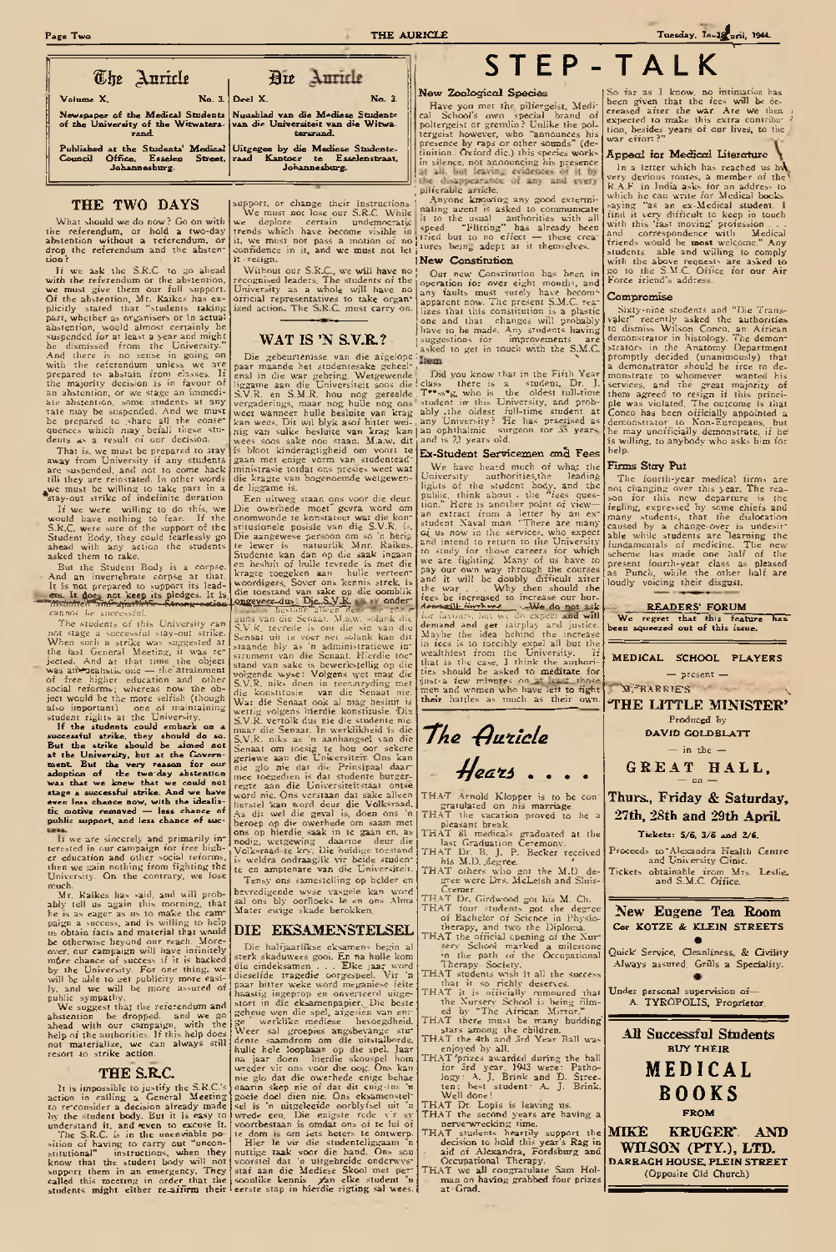**i**

 $\overline{\phantom{a}}$ 

| The Auricle                                                                                                                                             | Auricle<br>目正            |  |
|---------------------------------------------------------------------------------------------------------------------------------------------------------|--------------------------|--|
| Volume <sub>X.</sub>                                                                                                                                    | No. 3. Deel X.<br>No. 3. |  |
| Newspaper of the Medical Students Nuushlad van die Mediese Studente<br>of the University of the Witwaters- van die Universiteit van die Witwa-<br>rand  | tersrand.                |  |
| Published at the Students' Medical Ultgegee by die Mediese Studente-<br>Council Office, Esselen Street, raad Kantocr te Esselenstraat.<br>Johannesburg. | Johannesburg.            |  |

#### **THE TWO DAYS**

What should we do now? Go on with the referendum, or hold a two-day abstention without a referendum, or drop the referendum and the abstention ?

If we ask the S.K.C. to go ahead with the referendum or the abstention, we must give them our full support. Of the abstention, Mr. Kaikcs has explicitly stated that "students taking part, whether as organisers or In actual abstention, would almost certainly be suspended for at least a year and might be dismissed from the University." And there is no sense in going on with the referendum unless we are prepared to abstain from classes. If the majority decision is in favour of an abstention, or we stage an immediate abstention, some students at any rate may be suspended. And we must be prepared to .share all the conse-quences which may befall these students as a result of our decision.

That is, we must be prepared to stay away from University if any students are suspended, and not to come back till they arc reinstated. In other words .we must be willing to take part in a #stay-out strike of indefinite duration. If we were willing to do this, we would have nothing to fear. If the S.K.C. were sure of the support of the Student Body, they could fearlessly go<br>ahead with any action the students

asked them to take. But the Student Body is a corpse. • And an invertebrate corpse at that.

It is not prepared to support its leaders. It does not keep its pledges. It is **contract the manufacture** of the extension *cannot he* successful.

The students of this University can not stage a successful stay-out strike. When such a strike was suggested at the last General Meeting, it was rejected. And at that time the object was am aeahstic one — the attainment of free higher education and other social reforms-; whereas now the object would be the more selfish (though also important) one of maintaining

student rights at the University. **If the students could embark on a successful strike, they should do so. But the strike should he aimed not at the University, but at the Govern**ment. But the very reason for our<br>adoption of the two-day abstention **was that we knew that we could not stage a successful strike. And we have even less chance now, with the idealistic motive removed — less chance of** public support, and less chance of suc-**SEAL** 

It we are sincerely and primarily interested in our campaign for free higher education and other social reforms, then we gain nothing from fighting the University. On the contrary, we lose much.

Mr, Kaikcs has said, and will probably tell us again this morning, that he is as eager as us to make the campaign a success, and is willing to help us obtain facts and material that would be otherwise beyond our reach. Moreover, our campaign will have infinitely<br>m*fire* chance of success if it is backed by the University. For one thing, we will bp able to get publicity more easi-ly, and we will be more assured of public sympathy.

We suggest that the referendum and abstention be dropped, and wc go ahead with our campaign, with the help of the authorities. If this help does materialize, we can always still resort to strike action.

#### **THE S.R.C.**

It is impossible to justify the S.R.C.'s action in calling a General Meeting to re-considcr a decision already made by the student body. But it is easy to understand it, and \*evcn to excuse it. The S.K.C. is in the unenviable position of having to carry out "unconstitutional" instructions, when they know that the student body will not support them in an emergency. They called this meeting in order that the students might either re-affirm their

Aupport, or change their instructions.<br>We must not lose our S.R.C. While we deplore certain undemocratic<br>trends-which have become visible in trends which have become visible in these Finiting has affeatly been<br>it, we must not pass a motion of no little but to no effect — these creaconfidence in it, and we must not let j lures being adept at it themselves. it resign. **just a constitution** and **New Constitution** 

Without our S.K.C., we will have no ! Our new Constitution has been in recognised leaders. The students of the opperation for over eight months, and University as a whole will have no any faults must surely have becom-University as a whole will have no official representatives to take organized action. The S.R.C. must carry on.

#### **W AT IS 'N S.V.R.?**

Die gebeurtenisse van die afgelopc *'■*t. ' paar maande het studentesake geheeltiggame aan die Universiteit soos die  $\text{E}{\text{G}}$ aan die Universiteit soos die S.V.R. en S.M.R. hou nog gereelde vergderings, maar nog hulle nog ons weer wanneer hulle besluite van klaat liggame aan die Universiteit soos die! class – there is a – student. Dr. J.<br>S.V.R. en S.M.R. hou nog gereelde T\*\*ss\*g, who is the oldest tull-time vergaderings, maar nog hulle nog ons student irr this University, and probweet wanneer hulle besluite van krag ably .the oldest full-time student at kan wees. Dit wil blyk asof bitter wei- , any University ? 'He has practised as wees soos sake nou staan. M.a.w. dit is bloot kinderagtigheid om voort te gaan met cnige vorm van studentcadministrasie totdat ons presses weet wat die kragte van bogenoemde wetgewende liggame is.

Een uitweg staan ons voor die dcur. Die owerhede moet" gevra word om<br>onomwonde te konstateer wat die konf stitusionelc posisie van die S.V.R. is. Die aangewese persoon om so 'n berig te lewer is natuuriik Mnr. Kaikcs. Siudentc kan dan op die saak ingaan en heshiit of hulle tevrede is met die kragte toegeken aan hulle verteenwoordigers. Sovcr ons Rennis strek, is It is die toestand van sake op die oomblik<br> **cion** ongeveer dus. Die S.V.R.

guns van die Scnaat. M.a.w. solank die S.V.R. tevrede is om die sin van die Scnaat uit le vocr net solank kan dit staande bly as "n administratiewe instrument van die Scnaat. Hierdic toestand van sake is bewcrksfellig op die voigende wysc: Volgens \yet mag die S.V.R. niks docn in teenstryding. met die konstitusie van die Scnaat nie. Wat die Scnaat ook al mag beshiit is wettig volgens hierdie konstitusie. Die S.V.R. vertolk dus nie die studente nie. maar die Senaat. In werklikheid is die S.V.R. niks as 'n aanhangsel van die Scnaat om toesig te hou oor sekere geriewe aan die Universiteir. Ons kan nie glo nie dat die Prinsipaal daar-mce toegedien is dat studente burgerregte aan die Universiteitstaat ontse word nie. Ons verstaan dat sake allecn herstcl kan word dcur die Volksraad. As dit wel die geval is, doen ons 'n beroep op die owerhede om saam met ons op hierdic saak in te gaan en, as nodig, weigewing daartoc deur die Volksraad-te kry. Die huidige toestand is weldra ondraaglik vir beide studente cn amptenarc van die Universiteit.

Tensy ons samestelling op holder cn bevredigende wysc vasgele kan word sal ons bly oorhocks le en ons Alma Mater ewige skadc berokken.

## **DIE EKSAMENSTELSEL**

Die haifjaarlikse eksamens begin al sterk skaduwees gooL En na hulle kom die eindeksamen . . . Elke jaar word diesclfdc tragedie oorgespcel. Vir 'n paar bitter wcke word meganiesc feite haastig ingeprop en onverteerd uitgestort in die eksamenpapicr.\_ Die beste geheue wen die spcl, afgesien van en: ge ' werklike mediesc bevoegdheid. Weer sal groepies angsbevange studente saamdrom om die uitstalborde, hulle hcle loopbaan op die spcL Jaar na jaar doen hierdic skouspel horn wredcr vir ons voor die OOg. Ons kan nic glo dat die owerhede cnige bchae daarin skep nie of dat dit enig-ins goeie doel dien nie. Ons eksamenstelsel is 'n uitgelcefdc oorblyfsd uit 'n wrede ecu. Die enigstc rede v'r sv voortbestaan is omda: ons of te lui of tc dom is om ieis beter> tc ontwerp. Hier le vir die studentcliggaam 'n nuttige taak voor die hand.. Ons sou vcorstcl dat 'n uitgebreide ondcrwvsstaf aan die Mediesc Skool met per\* soonlike kennis \_/an elke student 'n eerste stap in hierdie rigting sal wees.

### **New Zoological Species**

Have you met the pilfergeist. Medical School's own special brand of poltergeist or gremlin? Unlike the pol-tergeist however, who "announces his presence by raps or other sounds" (definition : Oxford die.) this species works in silence, not announcing his presence<br>all all but leaving evidences of it by<br>the disappearance of any and every pilierable article.<br>Anyone knowing any good extermi-

We must not lose our S.R.C. While nating agent is asked to communicate<br>Indeplore certain undemocratic it to the usual authorities with all<br>ends which have become visible in speed. "Flitting" has already been

apparent now. The present S.M.C. realizes that this constitution is a plastic one and that changes will probably have to he made. Any students having suggestions for improvements are suggestions for improvements are<br>asked to get in touch with the S.M.C.

enal in die war gebring. Wetgewende Did you know that in the Fifth Year nig van sulke besluite van krag kan an ophthalmic surgeon tor 55 years and is 7.1 years old.

> **Ex-Student Servicemen and Fees** We have heard much of what the University authorities, the leading lights of the-student body, and the public, think about , the " fees question." Here is another point of view an extract from a letter by an exstudent Naval man. "There are many of us now in the services, who expect and intend to return to the University to study for those careers for which wc arc fighting. Many of us have to pay our own way through the courses and it will be doubly difficult after the war . . . Why then should the fees be increased to increase our bur-<br>denoteill *increase*... - We do not askfor favours, but we do expect **and"** will demand and get *lairplay* and justice. Maybe the idea behind the increase in fees is to forcibly expel all but the wealthiest from the University. If that is the case, I think the authorities should be asked to meditate for gust-a few minutes on at the those

men and women who have left to fight their battles as much as their own.

*~Tle -Q iitlcle* **Hears** ..

THAT Arnold Klopper is to be congratulated on nis marriage. THAT the vacation proved to be a

- pleasant break. THAT SI medicals graduated at the
- last Graduation Ceremonv. THAT Dr. B. J. P. Becker received his M.D. degree. ''
- THAT others who got the M.D. degree were Drs. McLeish and Sluis-Cremcr.
- THAT Dr. Girdwood got his M, Ch. THAT four students got the degree of Bachelor of Science in Physiotherapy, and two the Diploma.
- $THAT$  the official opening of the Nursery School marked a milestone
- *in* the path of the Occupational Therapy Society. THAT students wish it ail the success
- that it so richly deserves. THAT it is officially rumoured that the Nursery School is being film-
- ed by "The African Mirror." THAT there must be many budding'
- stars among the children. THAT the 4th and 3rd Year Ball was enjoyed by all.
- THAT'prizes awarded during the ball for 3rd year. 1043 were: Pathology: A. J. Brink and D. Streeten; best student: A. J. Brink. Well done!
- THAT Dr. Lopis is leaving us. THAT the second years are having a
- nerve-wrecking time. THAT students heartily support the decision to hold this year's Rag in<br>aid of Alexandra, Fordsburg and
- Occupational Therapy. THAT we all congratulate Sam Holman on having grabbed four prizes at - Grad.

So far as I know, no intimation has been given that the fees will be decreased after the war. Are we then i expected to make this extra contribution, besides years of our lives, to the war effort?"

**A ppeal for M edical Literature**

In a letter which has reached us  $b\lambda$ very devious routes, a member of the' K.A.F. in India asks for an address to which he can write for Medical books saying "as an ex-Mcdical student. I find it very difficult to keep in touch with this 'fast moving' profession . . . and correspondence with Medical friends would be most welcome." Any students able and willing to comply with the above requests are asked to go to the S.M.C. Office for our Air Force friend's address.

#### **Compromise**

STEP-TALK

Sixty-nine students and "Die Transvaler" recently asked the authorities to dismiss Wilson Conco, an African demonstrator in histology. The demonstrators in the Anatomy Department promptly decided (unanimously) that a demonstrator should be free to demonstrate to whomever wanted his services, and the great majority of them agreed to resign if this principle was violated. The outcome is that Conco has been officially appointed  $\mu$ demonstrator to Non-Europeans, but he may unofficially demonstrate, if her is willing, to anybody who asks him for help.

#### **Firms Stay Put**

The fourth-year medical firms are not changing over this year. The reason for this new departure is the feeling, expressed by some chiefs and many students, that the dislocation caused by a change-over is undesirable while students are Teaming the fundamentals of medicine. The new scheme has made one half of the present fourth-year class as pleased as Punch, while the other half are loudly voicing their disgust.

**R E A D E R S' FO R U M W e regret that this feature has been squeezed out of this issue.**

**M E D IC A L SCHOOL P LA YE R S**

— present — W-BARRIE'S

**T H E LITTLE MINISTER\*** Produced by

**D A V ID CO LD BLATT**

 $-$  in the  $-$ 

**GREAT HALL,**  $-$  on  $-$ 

**Thurs., Friday & Saturday, 27th, 28th and 29th April.**

**Tickets: 5/6, 3/6 and 2/6.**

Proceeds to'Alexandra Health Centre and University Clinic. Tickets obtainable from Mrs. Leslie, and S.M.C. Office.

**New Eugene Tea Room** Cor KOTZE & KLEIN STREETS

• Quick Service, Cleanliness, & Civility Always assured. Grills a Speciality.

Under personal supervision of-A. TYROPOLIS, Proprietor.

**All Successful Students BUY THEIR** MEDICAL

BOOKS **FR O M**

**MIKE KRUGER' AND WILSON (PTY.), LTD. DARRAGH HOUSE, PLEIN STREET** (Opposite Old Church)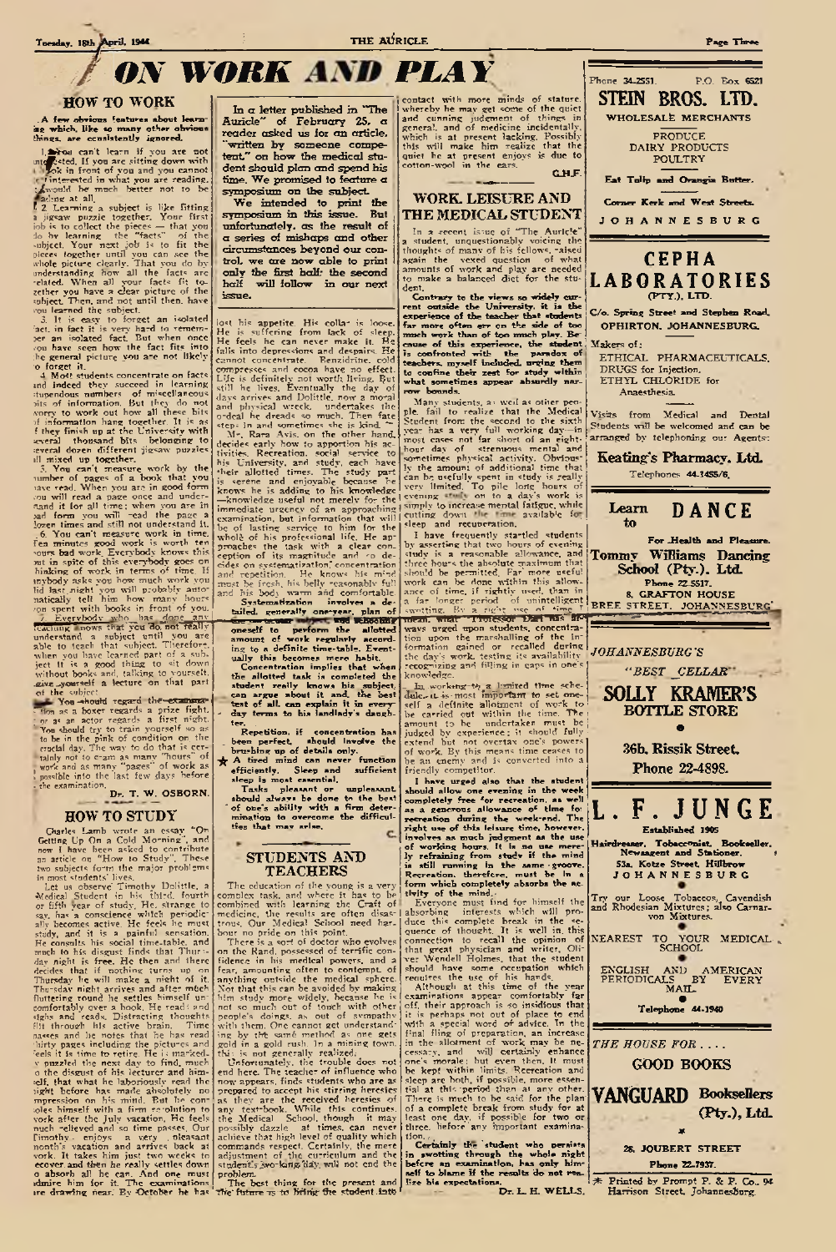# **ON WORK AND PLAY HOW TO WORK**

A few obvious features about learning which, like so many other obvious things, are consistently ignored.

l. whou can't learn if you are not inte ested. If you are sitting down with Tok in front of you and you cannot 'interested in what you are reading, './w ould he much better not to be adme at all.

2. Learning a subject is like fitting jigsaw puzzle together. Your first iob is to collect the pieces — that you do by learning the "facts" of the subject. Your next job is to fit the pieces together until you can sec the ivhole pictu-c clearly. That you do by understanding how all the facts are related. When all your facts fit tojetber you have a dear picture of the mbject" Then, and not until then, have rou learned the subject.

3. It is easy to forget an isolated :act. in fact it is very hard to remem- >er an isolated fact. But when once rou have seen how the fact fits into :hc general picture you arc not likely

:o forget it. 4 Most students concentrate on facts and indeed they succeed in learning stupendous numbers of miscellaneous >its of information. But they do not worry to work out how all these bits >f information hang together. It is as f they finish up at the University with several thousand bits belonging to several dozen different 'jigsaw puzzles ill mixed up together.

3. You can't measure work by the lumber of pages o f a book that you iavc read. When you are in good form rou will read a page once and underhand it for all time: when you arc in rad form you will read the page a lozen times and still not understand it. . 6. You can't measure work in time. Tea minutes good work is worth ten ours bad work. Everybody knows this<br>aut in spite of this everybody goes on hinking of work in terms of time. If mybody asks you how much work you lid last night you will probably autonatically tel! him how many hours rou spent with books in front of you. 7. Everybody who has done any leaching 'nows that you do not really understand a subject until you arc able to teach that subject. Therefore, when you have learned part of a subject it is a good thing to sit down without books and. talking to yourself, .give-yourself a lecture on that part of the subject.

You -should regard the-examing Tion as a boxer regards a prize fight. - or as an actor regards a first night. ' You should try to train yourself so as to be in the pink of condition on. the crucial day. The way to do that is certainly not to c-am as many "hours" of work and as many " pages" of work as ! possible into the last few days before - the examination. **Dr. T. W . OSBO RN.**

#### **HOW TO STUDY**

Charles Lamb wrote an essay "On Getting Up On a Cold Morning", and now 1 have been asked to contribute an article on "How to Study". These two subjects fo-m the major problems

in most students' lives. Let us observe' Timothy Dolittle. a Medical Student in his third, fourth or fifth year of study. He. strange to say. has a conscience which periodically becomes active. He feels he must study, and it is a painful sensation. He consults his social time-table, and much to his disgust finds that Thursday night is free. He then and there decides that if nothing turns up on Thursday he will make a night of it.<br>Thu-sdav night arrives and after much fluttering round he settles himself uncomfortably over a book. He read f and sighs and reads. Distracting thoughts flit through his active brain. Time passes and lie notes that he has read thirty pages including the pictures and :eels it is time to retire. He i; markedv puzzled the next day to find, much the disgust of his lecturer and him-;clf. that what he laboriously read the light before has made absolutely no mpression on h:s mind. But he conoles himself with a firm resolution to vork af'er the July vacation. He feels nuch -elieved and so time passes. Our Fimothy - enjoys - a very - pleasant<br>nonth's vacation and arrives back at vork. It takes him just two weeks to eeover. and then he really settles down o absorb all he can. And one must idmire him for it. The examinations<br>ire drawing near.' By October he has

In a letter published in "The Auricle" of February 25, a **reader asked us for an article, written** by someone competent," on how the medical stu**dent should plan and spend his** time. We promised to feature a **symposium on the suhject-**

**W e intended to print the symposium in this issue. But unfortunately, as the result of a series of m ishaps and other circumstances beyond our control, we are now able to print only the first halt- the second half will follow in our next issue.**

lost his appetite. His colla- is loose. He is suffering from lack of sleep. He feels he can never make it. He falls into depressions and despairs. He<br>cannot concentrate. Benzidrine, cold cannot concentrate. Benzidrine. cold compresses and cocoa have no effect. Life is definitely not worth living. But still he lives. Eventually the day of days arrives and Dolittle. now a moral and physical wreck, undertakes the o-dcal he dreads so much. Then fate steps in and sometimes she is kind.  $\pm$ 

Mr. Rara Avis, on the other hand, decides early how to apportion his activities. Recreation, social service to his University, and study, each have their allotted times. The study part examination, but information that will be of lasting service to him for the whold of his professional life. He approaches the task with a clear conception of its magnitude and co-de-<br>cides on systematization, concentration and repetition. He knows his mind must be fresh, his belly -casonablv full and his body warm atid comfortable. **Systematization involves a de-**

tailed. generally one-year, plan of<br><del>car as taxikit</del> why a nid schooling<br>oneself to perform the allotted amount of work regularly accord**ing to a definite time-table. Eventually this becomes mere habit.**

Concentration implies that when **the allotted task is completed the student really knows his subject., can argue about it and. the best** test of all. can explain it in every<br>clay terms to his landlady's daugh**ter. .**

**Repetition, if concentration ha\*** , been perfect, should involve the<br>brushing up of details only.

*•fa* **A tired mind can never function efficiently. Sleep and sufficient sleep is most essential.**

**Tasks pleasant or unpleasant, should always be done to tbe best** of one's ability with a firm deter**mination to orercome the difficulties that mav arise.**

#### **STUDENTS AND TEACHERS**

The education of the young is a very complex task, and where it has to be combined with learning the Craft of medicine, the results arc often disas- I absorbing trous. Our Medical School need harbour no pride on this point.

There is a sort of doctor who evolves on the Rand, possessed of terrific confidence in his medical powers, and a fear, amounting often to contempt, of anything outside the medical sphere. Not that this can be avoided by making him study more widely, because he not so much out of touch with other people's doings, as out of sympathy with them. One cannot get understanding by tbfc sam6 method as one gets gold in a gold rush. In a mining town.

this is not generally realized;<br>- Unfortunately, the trouble does not end here. The teacher of influence who now appears, finds students who arc as prepared to accept his stirring heresies as they are the received heresies of any text-book. While this continues, the Medical School, though it may possibly dazzle at times, can never achieve that high level of quality which commands respect. Certainly, the mere adjustment of the curriculum and students-wo-kang/day will not end the problem. The best thing for the present and

The'future TS'to bfinjr the student -into

with more minds of stature. whereby he may get some of the quiet and cunning judgment of things in general, and of medicine incidentally, which is at present lacking. Possibly this will make him realize that the quiet he at present enjoys is due to cotton-wool in the ears. **GJiJF.**

### **WORK. LEISURE AND THE MEDICAL STUDENT**

In a recent issue of "The Auricle" a student, unquestionably voicing the thoughts of many of his fellows, -aised again the vexed question of what amounts of work and play are needed to make a balanced diet for the student.

**Contrary to the views so widely current outside the University, it is the** experience of the teacher that st<del>uden</del>ts **far more often err on the ride of too** much work than of too much play. Because of this experience, the student Makers of :<br>**is confronted with the paradox of printing teachers, myself included, urging them to confine their zest for study within f what sometimes appear absurdly narrow bounds.**

is serene and enjoyable because he can be seen by spent in study is easy<br>knows he is adding to his knowledge very limited. To pile long bours of<br>-knowledge useful not merely for the server is a fame of the *films* while Many students, a; wcil as other people. fail to realize that the Medical Student from the second to the sixth year has a very full working day—in most cases not far short of an eighthour day of strenuous mental and sometimes physical activity. Obviously the amount of additional time that can he usefully spent in study is really very limited. To pile long hours of immediate userul not merely for the simply to increase mental fatigue, while cutting down the time available for

I have frequently sta-tied students by asserting that two hours of evening study is a reasonable allowance, and three hours the absolute maximum that should be permitted. Far' more useful work can be done within this allowance of time, if rightly used, than in a far longer period of unintelligent swotting. By a right use of time II mean, what "Trotessor Dart nas ar wavs urged upon students, concentration upon the marshalling of the information gained or recalled during the day's work, testing its availability, recognizing and filling in gaps in one's knowledge.

- In work+ng-th a limited time schedule.-it-is-most important to set oneself a definite allotment of work to he carried out' within the time. The amount to be undertaken must be judged by experience: it should fully extend but not overtax one's powers of work. By this means time ceases to be an enemy and is converted into a friendly competitor.

**I have urged also that the student** should allow one evening in the week and **lead in the week**  $\vert$ **as a generous allowance o\* time fo: recreation during the week-end. The right use o f this leisure time, however,** involves as much j<del>udgment</del> as the use<br>of working hours. It is no use mere**ly refraining from study if the mind is still running in the same - groove. Recreation, therefore, must be in a form which completely absorbs the ac**tivity of the mind.

Everyone must find for himself the interests which will produce this complete break in the sequence of thought. It is well in this<br>connection to recall the opinion of that great physician and writer. Oliver. Wendell Holmes, that the student should have some occupation which

requires the use of his hands.<br>Although at this time of the year examinations appear comfortably far off. their approach is so insidious that it is perhaps not out of place to end with a special word of advice. In the f:na! fling of preparation, an increase in the allotment of work may be ne- $\int THE$   $HOUSE$   $FOR$ ... cessary. and will certainly enhance one's morale; but even then, it must<br>be kept within limits. Recreation and sleep are both, if possible, more essenat this period than at any other. There is much to be said for the planof a complete break' from study for at least one day. if possible for two or. three, 'before any important examina-

tion.-.;. , **Certainly the student who persists in swotting through the whole night before an examination, has only himself to Marne if the results do'not realize his expectations.**

**. Dr. L. H. WELLS.** 



LABORATORIES **(P T Y .), LTD .**

**C /o . Spring Street and Stephen Road. OPHIRTON, JOHANNESBURG.** 

ETHICAL PHARMACEUTICALS. DRUGS for Injection. ETHYL CHLORIDE for Anaesthesia.

Visits from Medical and Dental Students will be welcomed and can be arranged by telephoning our Agents:

**Keating:'s Pharmacy. Ltd.** Telephones 44-1455/6.